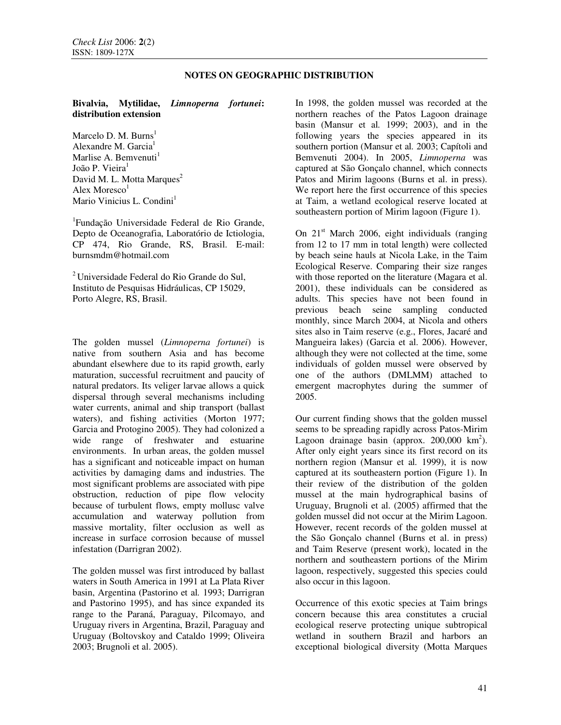# **NOTES ON GEOGRAPHIC DISTRIBUTION**

## **Bivalvia, Mytilidae,** *Limnoperna fortunei***: distribution extension**

Marcelo D. M. Burns<sup>1</sup> Alexandre M. Garcia<sup>1</sup> Marlise A. Bemvenuti $<sup>1</sup>$ </sup> João P. Vieira<sup>1</sup> David M. L. Motta Marques<sup>2</sup> Alex Moresco $^1$ Mario Vinicius L. Condini<sup>1</sup>

<sup>1</sup>Fundação Universidade Federal de Rio Grande, Depto de Oceanografia, Laboratório de Ictiologia, CP 474, Rio Grande, RS, Brasil. E-mail: burnsmdm@hotmail.com

<sup>2</sup>Universidade Federal do Rio Grande do Sul, Instituto de Pesquisas Hidráulicas, CP 15029, Porto Alegre, RS, Brasil.

The golden mussel (*Limnoperna fortunei*) is native from southern Asia and has become abundant elsewhere due to its rapid growth, early maturation, successful recruitment and paucity of natural predators. Its veliger larvae allows a quick dispersal through several mechanisms including water currents, animal and ship transport (ballast waters), and fishing activities (Morton 1977; Garcia and Protogino 2005). They had colonized a wide range of freshwater and estuarine environments. In urban areas, the golden mussel has a significant and noticeable impact on human activities by damaging dams and industries. The most significant problems are associated with pipe obstruction, reduction of pipe flow velocity because of turbulent flows, empty mollusc valve accumulation and waterway pollution from massive mortality, filter occlusion as well as increase in surface corrosion because of mussel infestation (Darrigran 2002).

The golden mussel was first introduced by ballast waters in South America in 1991 at La Plata River basin, Argentina (Pastorino et al*.* 1993; Darrigran and Pastorino 1995), and has since expanded its range to the Paraná, Paraguay, Pilcomayo, and Uruguay rivers in Argentina, Brazil, Paraguay and Uruguay (Boltovskoy and Cataldo 1999; Oliveira 2003; Brugnoli et al. 2005).

In 1998, the golden mussel was recorded at the northern reaches of the Patos Lagoon drainage basin (Mansur et al*.* 1999; 2003), and in the following years the species appeared in its southern portion (Mansur et al*.* 2003; Capítoli and Bemvenuti 2004). In 2005, *Limnoperna* was captured at São Gonçalo channel, which connects Patos and Mirim lagoons (Burns et al. in press). We report here the first occurrence of this species at Taim, a wetland ecological reserve located at southeastern portion of Mirim lagoon (Figure 1).

On  $21<sup>st</sup>$  March 2006, eight individuals (ranging from 12 to 17 mm in total length) were collected by beach seine hauls at Nicola Lake, in the Taim Ecological Reserve. Comparing their size ranges with those reported on the literature (Magara et al. 2001), these individuals can be considered as adults. This species have not been found in previous beach seine sampling conducted monthly, since March 2004, at Nicola and others sites also in Taim reserve (e.g., Flores, Jacaré and Mangueira lakes) (Garcia et al. 2006). However, although they were not collected at the time, some individuals of golden mussel were observed by one of the authors (DMLMM) attached to emergent macrophytes during the summer of 2005.

Our current finding shows that the golden mussel seems to be spreading rapidly across Patos-Mirim Lagoon drainage basin (approx.  $200,000 \text{ km}^2$ ). After only eight years since its first record on its northern region (Mansur et al*.* 1999), it is now captured at its southeastern portion (Figure 1). In their review of the distribution of the golden mussel at the main hydrographical basins of Uruguay, Brugnoli et al. (2005) affirmed that the golden mussel did not occur at the Mirim Lagoon. However, recent records of the golden mussel at the São Gonçalo channel (Burns et al. in press) and Taim Reserve (present work), located in the northern and southeastern portions of the Mirim lagoon, respectively, suggested this species could also occur in this lagoon.

Occurrence of this exotic species at Taim brings concern because this area constitutes a crucial ecological reserve protecting unique subtropical wetland in southern Brazil and harbors an exceptional biological diversity (Motta Marques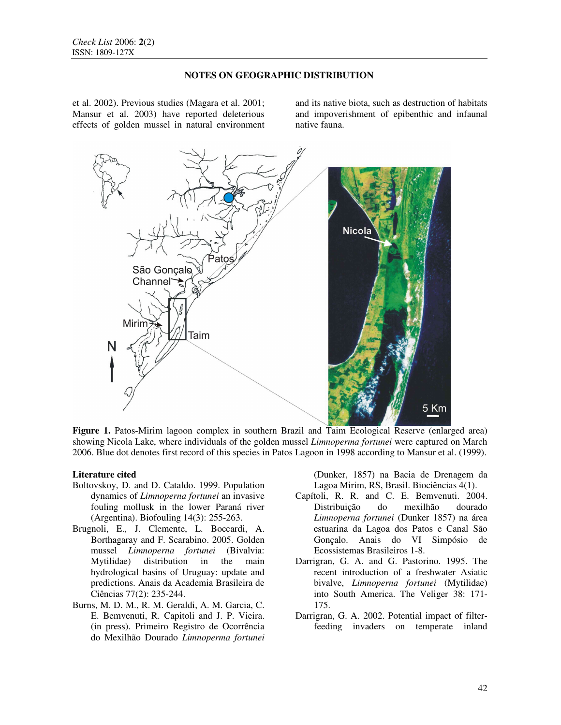## **NOTES ON GEOGRAPHIC DISTRIBUTION**

et al. 2002). Previous studies (Magara et al. 2001; Mansur et al. 2003) have reported deleterious effects of golden mussel in natural environment and its native biota, such as destruction of habitats and impoverishment of epibenthic and infaunal native fauna.



**Figure 1.** Patos-Mirim lagoon complex in southern Brazil and Taim Ecological Reserve (enlarged area) showing Nicola Lake, where individuals of the golden mussel *Limnoperma fortunei* were captured on March 2006. Blue dot denotes first record of this species in Patos Lagoon in 1998 according to Mansur et al. (1999).

### **Literature cited**

- Boltovskoy, D. and D. Cataldo. 1999. Population dynamics of *Limnoperna fortunei* an invasive fouling mollusk in the lower Paraná river (Argentina). Biofouling 14(3): 255-263.
- Brugnoli, E., J. Clemente, L. Boccardi, A. Borthagaray and F. Scarabino. 2005. Golden mussel *Limnoperna fortunei* (Bivalvia: Mytilidae) distribution in the main hydrological basins of Uruguay: update and predictions. Anais da Academia Brasileira de Ciências 77(2): 235-244.
- Burns, M. D. M., R. M. Geraldi, A. M. Garcia, C. E. Bemvenuti, R. Capitoli and J. P. Vieira. (in press). Primeiro Registro de Ocorrência do Mexilhão Dourado *Limnoperma fortunei*

(Dunker, 1857) na Bacia de Drenagem da Lagoa Mirim, RS, Brasil. Biociências 4(1).

- Capítoli, R. R. and C. E. Bemvenuti. 2004. Distribuição do mexilhão dourado *Limnoperna fortunei* (Dunker 1857) na área estuarina da Lagoa dos Patos e Canal São Gonçalo. Anais do VI Simpósio de Ecossistemas Brasileiros 1-8.
- Darrigran, G. A. and G. Pastorino. 1995. The recent introduction of a freshwater Asiatic bivalve, *Limnoperna fortunei* (Mytilidae) into South America. The Veliger 38: 171- 175.
- Darrigran, G. A. 2002. Potential impact of filterfeeding invaders on temperate inland